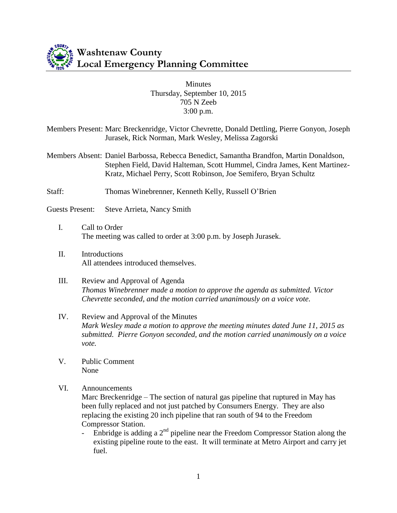

### **Minutes** Thursday, September 10, 2015 705 N Zeeb 3:00 p.m.

Members Present: Marc Breckenridge, Victor Chevrette, Donald Dettling, Pierre Gonyon, Joseph Jurasek, Rick Norman, Mark Wesley, Melissa Zagorski

Members Absent: Daniel Barbossa, Rebecca Benedict, Samantha Brandfon, Martin Donaldson, Stephen Field, David Halteman, Scott Hummel, Cindra James, Kent Martinez-Kratz, Michael Perry, Scott Robinson, Joe Semifero, Bryan Schultz

Staff: Thomas Winebrenner, Kenneth Kelly, Russell O'Brien

Guests Present: Steve Arrieta, Nancy Smith

- I. Call to Order The meeting was called to order at 3:00 p.m. by Joseph Jurasek.
- II. Introductions All attendees introduced themselves.

### III. Review and Approval of Agenda *Thomas Winebrenner made a motion to approve the agenda as submitted. Victor Chevrette seconded, and the motion carried unanimously on a voice vote.*

## IV. Review and Approval of the Minutes

*Mark Wesley made a motion to approve the meeting minutes dated June 11, 2015 as submitted. Pierre Gonyon seconded, and the motion carried unanimously on a voice vote.* 

- V. Public Comment None
- VI. Announcements

Marc Breckenridge – The section of natural gas pipeline that ruptured in May has been fully replaced and not just patched by Consumers Energy. They are also replacing the existing 20 inch pipeline that ran south of 94 to the Freedom Compressor Station.

- Enbridge is adding a  $2<sup>nd</sup>$  pipeline near the Freedom Compressor Station along the existing pipeline route to the east. It will terminate at Metro Airport and carry jet fuel.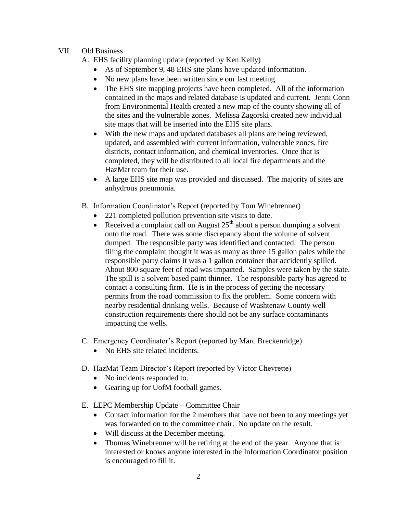## VII. Old Business

- A. EHS facility planning update (reported by Ken Kelly)
	- As of September 9, 48 EHS site plans have updated information.
	- No new plans have been written since our last meeting.
	- The EHS site mapping projects have been completed. All of the information contained in the maps and related database is updated and current. Jenni Conn from Environmental Health created a new map of the county showing all of the sites and the vulnerable zones. Melissa Zagorski created new individual site maps that will be inserted into the EHS site plans.
	- With the new maps and updated databases all plans are being reviewed, updated, and assembled with current information, vulnerable zones, fire districts, contact information, and chemical inventories. Once that is completed, they will be distributed to all local fire departments and the HazMat team for their use.
	- A large EHS site map was provided and discussed. The majority of sites are anhydrous pneumonia.
- B. Information Coordinator's Report (reported by Tom Winebrenner)
	- 221 completed pollution prevention site visits to date.
	- Received a complaint call on August  $25<sup>th</sup>$  about a person dumping a solvent onto the road. There was some discrepancy about the volume of solvent dumped. The responsible party was identified and contacted. The person filing the complaint thought it was as many as three 15 gallon pales while the responsible party claims it was a 1 gallon container that accidently spilled. About 800 square feet of road was impacted. Samples were taken by the state. The spill is a solvent based paint thinner. The responsible party has agreed to contact a consulting firm. He is in the process of getting the necessary permits from the road commission to fix the problem. Some concern with nearby residential drinking wells. Because of Washtenaw County well construction requirements there should not be any surface contaminants impacting the wells.
- C. Emergency Coordinator's Report (reported by Marc Breckenridge)
	- No EHS site related incidents.
- D. HazMat Team Director's Report (reported by Victor Chevrette)
	- No incidents responded to.
	- Gearing up for UofM football games.
- E. LEPC Membership Update Committee Chair
	- Contact information for the 2 members that have not been to any meetings yet was forwarded on to the committee chair. No update on the result.
	- Will discuss at the December meeting.
	- Thomas Winebrenner will be retiring at the end of the year. Anyone that is interested or knows anyone interested in the Information Coordinator position is encouraged to fill it.